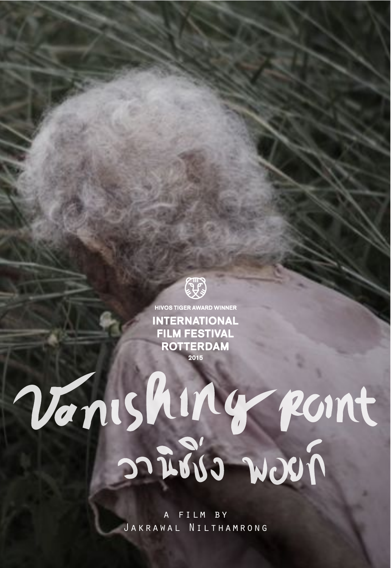

**HIVOS TIGER AWARD WINNER INTERNATIONAL FILM FESTIVAL ROTTERDAM** 2015

# Vanishing point

FILM BY Jakrawal Nilthamrong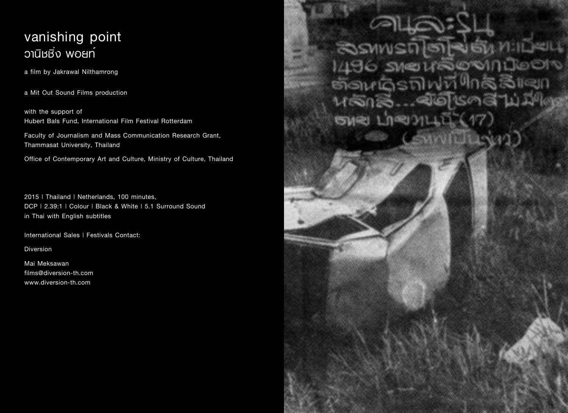# **vanishing point**  $\overline{O}$ านิชชิ่ง woun

**a film by Jakrawal Nilthamrong**

**a Mit Out Sound Films production**

**with the support of Hubert Bals Fund, International Film Festival Rotterdam**

**Faculty of Journalism and Mass Communication Research Grant, Thammasat University, Thailand**

**Office of Contemporary Art and Culture, Ministry of Culture, Thailand**

**2015 | Thailand | Netherlands, 100 minutes, DCP | 2.39:1 | Colour | Black & White | 5.1 Surround Sound in Thai with English subtitles**

**International Sales | Festivals Contact:**

**Diversion**

**Mai Meksawan films@diversion-th.com www.diversion-th.com**

SSAMS 6 SME m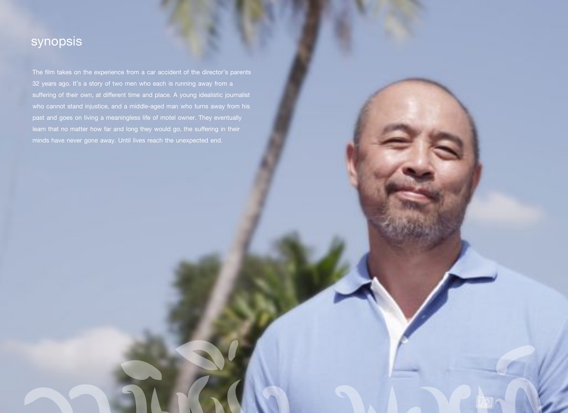# **synopsis**

**The film takes on the experience from a car accident of the director's parents 32 years ago. It's a story of two men who each is running away from a suffering of their own, at different time and place. A young idealistic journalist who cannot stand injustice, and a middle-aged man who turns away from his past and goes on living a meaningless life of motel owner. They eventually learn that no matter how far and long they would go, the suffering in their minds have never gone away. Until lives reach the unexpected end.**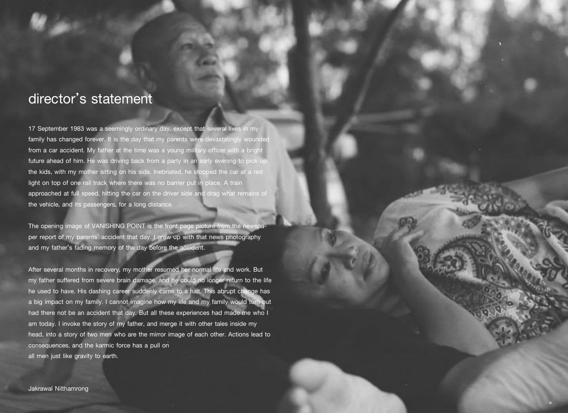## **director's statement**

**17 September 1983 was a seemingly ordinary day, except that several lives in my family has changed forever. It is the day that my parents were devastatingly wounded from a car accident. My father at the time was a young military officer with a bright future ahead of him. He was driving back from a party in an early evening to pick up the kids, with my mother sitting on his side. Inebriated, he stopped the car at a red light on top of one rail track where there was no barrier put in place. A train approached at full speed, hitting the car on the driver side and drag what remains of the vehicle, and its passengers, for a long distance.**

The opening image of VANISHING POINT is the front page picture from the nev **per report of my parents' accident that day. I grew up with that news photography and my father's fading memory of the day before the accident.**

**After several months in recovery, my mother resumed her normal life and work. But my father suffered from severe brain damage, and he could no longer return to the life he used to have. His dashing career suddenly came to a halt. This abrupt change has a big impact on my family. I cannot imagine how my life and my family would turn out had there not be an accident that day. But all these experiences had made me who I am today. I invoke the story of my father, and merge it with other tales inside my head, into a story of two men who are the mirror image of each other. Actions lead to consequences, and the karmic force has a pull on all men just like gravity to earth.**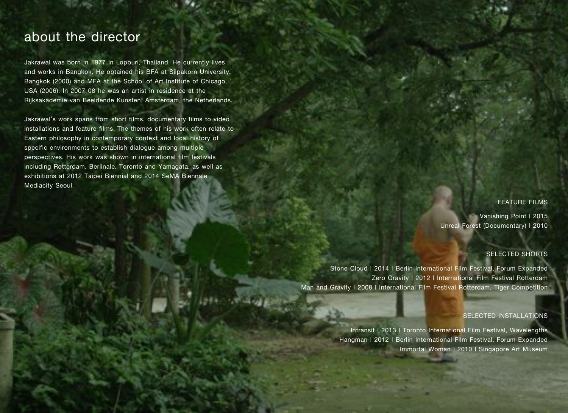## **about the director**

**Jakrawal was born in 1977 in Lopburi, Thailand. He currently lives and works in Bangkok. He obtained his BFA at Silpakorn University, Bangkok (2000) and MFA at the School of Art Institute of Chicago, USA (2006). In 2007-08 he was an artist in residence at the Rijksakademie van Beeldende Kunsten, Amsterdam, the Netherlands.**

**Jakrawal's work spans from short films, documentary films to video installations and feature films. The themes of his work often relate to Eastern philosophy in contemporary context and local history of specific environments to establish dialogue among multiple perspectives. His work was shown in international film festivals including Rotterdam, Berlinale, Toronto and Yamagata, as well as exhibitions at 2012 Taipei Biennial and 2014 SeMA Biennale Mediacity Seoul.**

#### **FEATURE FILMS**

**Vanishing Point | 2015 Unreal Forest (Documentary) | 2010**

#### **SELECTED SHORTS**

**Stone Cloud | 2014 | Berlin International Film Festival, Forum Expanded Zero Gravity | 2012 | International Film Festival Rotterdam Man and Gravity | 2008 | International Film Festival Rotterdam, Tiger Competition**

#### **SELECTED INSTALLATIONS**

**Intransit | 2013 | Toronto International Film Festival, Wavelengths Hangman | 2012 | Berlin International Film Festival, Forum Expanded Immortal Woman | 2010 | Singapore Art Museum**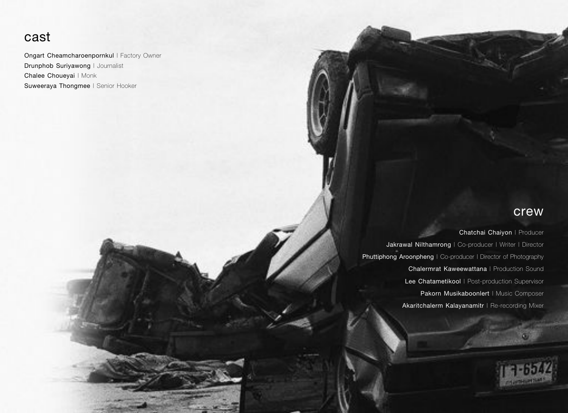## **cast**

**Ongart Cheamcharoenpornkul** | Factory Owner **Drunphob Suriyawong** | Journalist **Chalee Choueyai** | Monk **Suweeraya Thongmee** | Senior Hooker

### **crew**

**Individualists** 

**Chatchai Chaiyon** | Producer **Jakrawal Nilthamrong** | Co-producer | Writer | Director **Phuttiphong Aroonpheng** | Co-producer | Director of Photography **Chalermrat Kaweewattana** | Production Sound **Lee Chatametikool** | Post-production Supervisor **Pakorn Musikaboonlert** | Music Composer **Akaritchalerm Kalayanamitr** | Re-recording Mixer